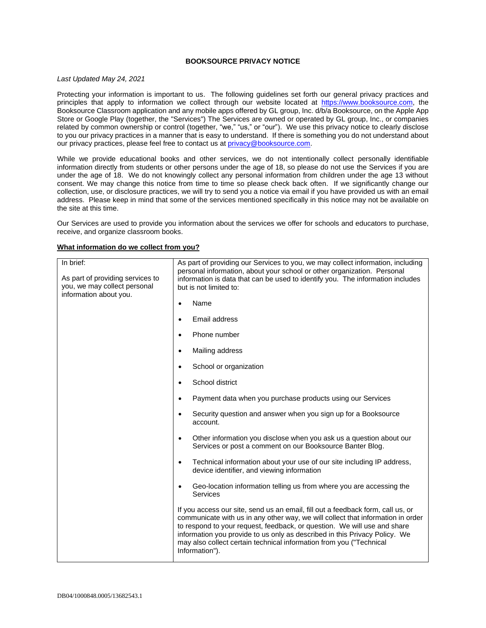### **BOOKSOURCE PRIVACY NOTICE**

#### *Last Updated May 24, 2021*

Protecting your information is important to us. The following guidelines set forth our general privacy practices and principles that apply to information we collect through our website located at [https://www.booksource.com,](https://www.booksource.com/) the Booksource Classroom application and any mobile apps offered by GL group, Inc. d/b/a Booksource, on the Apple App Store or Google Play (together, the "Services") The Services are owned or operated by GL group, Inc., or companies related by common ownership or control (together, "we," "us," or "our"). We use this privacy notice to clearly disclose to you our privacy practices in a manner that is easy to understand. If there is something you do not understand about our privacy practices, please feel free to contact us at [privacy@booksource.com.](mailto:privacy@booksource.com)

While we provide educational books and other services, we do not intentionally collect personally identifiable information directly from students or other persons under the age of 18, so please do not use the Services if you are under the age of 18. We do not knowingly collect any personal information from children under the age 13 without consent. We may change this notice from time to time so please check back often. If we significantly change our collection, use, or disclosure practices, we will try to send you a notice via email if you have provided us with an email address. Please keep in mind that some of the services mentioned specifically in this notice may not be available on the site at this time.

Our Services are used to provide you information about the services we offer for schools and educators to purchase, receive, and organize classroom books.

| In brief:<br>As part of providing services to<br>you, we may collect personal<br>information about you. | As part of providing our Services to you, we may collect information, including<br>personal information, about your school or other organization. Personal<br>information is data that can be used to identify you. The information includes<br>but is not limited to:                                                                                                                                                |
|---------------------------------------------------------------------------------------------------------|-----------------------------------------------------------------------------------------------------------------------------------------------------------------------------------------------------------------------------------------------------------------------------------------------------------------------------------------------------------------------------------------------------------------------|
|                                                                                                         | Name                                                                                                                                                                                                                                                                                                                                                                                                                  |
|                                                                                                         | Email address<br>$\bullet$                                                                                                                                                                                                                                                                                                                                                                                            |
|                                                                                                         | Phone number<br>$\bullet$                                                                                                                                                                                                                                                                                                                                                                                             |
|                                                                                                         | Mailing address<br>$\bullet$                                                                                                                                                                                                                                                                                                                                                                                          |
|                                                                                                         | School or organization<br>$\bullet$                                                                                                                                                                                                                                                                                                                                                                                   |
|                                                                                                         | School district<br>$\bullet$                                                                                                                                                                                                                                                                                                                                                                                          |
|                                                                                                         | Payment data when you purchase products using our Services<br>$\bullet$                                                                                                                                                                                                                                                                                                                                               |
|                                                                                                         | Security question and answer when you sign up for a Booksource<br>$\bullet$<br>account.                                                                                                                                                                                                                                                                                                                               |
|                                                                                                         | Other information you disclose when you ask us a question about our<br>$\bullet$<br>Services or post a comment on our Booksource Banter Blog.                                                                                                                                                                                                                                                                         |
|                                                                                                         | Technical information about your use of our site including IP address,<br>٠<br>device identifier, and viewing information                                                                                                                                                                                                                                                                                             |
|                                                                                                         | Geo-location information telling us from where you are accessing the<br>$\bullet$<br>Services                                                                                                                                                                                                                                                                                                                         |
|                                                                                                         | If you access our site, send us an email, fill out a feedback form, call us, or<br>communicate with us in any other way, we will collect that information in order<br>to respond to your request, feedback, or question. We will use and share<br>information you provide to us only as described in this Privacy Policy. We<br>may also collect certain technical information from you ("Technical<br>Information"). |

#### **What information do we collect from you?**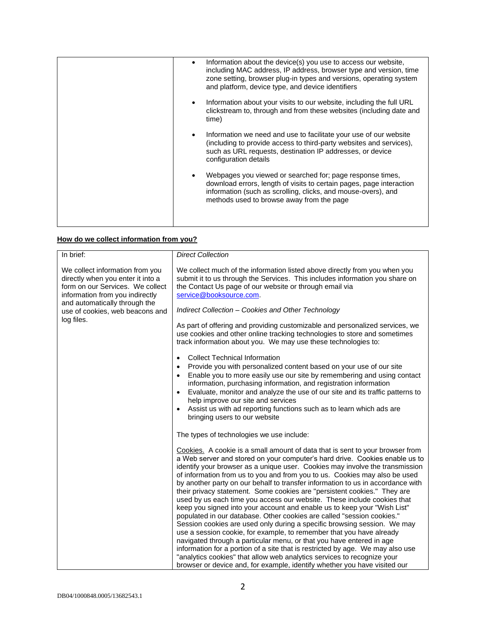|  | Information about the device(s) you use to access our website,<br>including MAC address, IP address, browser type and version, time<br>zone setting, browser plug-in types and versions, operating system<br>and platform, device type, and device identifiers |
|--|----------------------------------------------------------------------------------------------------------------------------------------------------------------------------------------------------------------------------------------------------------------|
|  | Information about your visits to our website, including the full URL<br>clickstream to, through and from these websites (including date and<br>time)                                                                                                           |
|  | Information we need and use to facilitate your use of our website<br>(including to provide access to third-party websites and services),<br>such as URL requests, destination IP addresses, or device<br>configuration details                                 |
|  | Webpages you viewed or searched for; page response times,<br>download errors, length of visits to certain pages, page interaction<br>information (such as scrolling, clicks, and mouse-overs), and<br>methods used to browse away from the page                |
|  |                                                                                                                                                                                                                                                                |

# **How do we collect information from you?**

| In brief:                                                                                                                                   | <b>Direct Collection</b>                                                                                                                                                                                                                                                                                                                                                                                                                                                                                                                                                                                                                                                                                                                                                                                                                                                                                                                                                                                                                                                                                                                                                                         |
|---------------------------------------------------------------------------------------------------------------------------------------------|--------------------------------------------------------------------------------------------------------------------------------------------------------------------------------------------------------------------------------------------------------------------------------------------------------------------------------------------------------------------------------------------------------------------------------------------------------------------------------------------------------------------------------------------------------------------------------------------------------------------------------------------------------------------------------------------------------------------------------------------------------------------------------------------------------------------------------------------------------------------------------------------------------------------------------------------------------------------------------------------------------------------------------------------------------------------------------------------------------------------------------------------------------------------------------------------------|
| We collect information from you<br>directly when you enter it into a<br>form on our Services. We collect<br>information from you indirectly | We collect much of the information listed above directly from you when you<br>submit it to us through the Services. This includes information you share on<br>the Contact Us page of our website or through email via<br>service@booksource.com.                                                                                                                                                                                                                                                                                                                                                                                                                                                                                                                                                                                                                                                                                                                                                                                                                                                                                                                                                 |
| and automatically through the<br>use of cookies, web beacons and                                                                            | Indirect Collection - Cookies and Other Technology                                                                                                                                                                                                                                                                                                                                                                                                                                                                                                                                                                                                                                                                                                                                                                                                                                                                                                                                                                                                                                                                                                                                               |
| log files.                                                                                                                                  | As part of offering and providing customizable and personalized services, we<br>use cookies and other online tracking technologies to store and sometimes<br>track information about you. We may use these technologies to:                                                                                                                                                                                                                                                                                                                                                                                                                                                                                                                                                                                                                                                                                                                                                                                                                                                                                                                                                                      |
|                                                                                                                                             | <b>Collect Technical Information</b><br>$\bullet$<br>Provide you with personalized content based on your use of our site<br>$\bullet$<br>Enable you to more easily use our site by remembering and using contact<br>$\bullet$<br>information, purchasing information, and registration information<br>Evaluate, monitor and analyze the use of our site and its traffic patterns to<br>$\bullet$<br>help improve our site and services<br>Assist us with ad reporting functions such as to learn which ads are<br>$\bullet$<br>bringing users to our website                                                                                                                                                                                                                                                                                                                                                                                                                                                                                                                                                                                                                                     |
|                                                                                                                                             | The types of technologies we use include:                                                                                                                                                                                                                                                                                                                                                                                                                                                                                                                                                                                                                                                                                                                                                                                                                                                                                                                                                                                                                                                                                                                                                        |
|                                                                                                                                             | Cookies. A cookie is a small amount of data that is sent to your browser from<br>a Web server and stored on your computer's hard drive. Cookies enable us to<br>identify your browser as a unique user. Cookies may involve the transmission<br>of information from us to you and from you to us. Cookies may also be used<br>by another party on our behalf to transfer information to us in accordance with<br>their privacy statement. Some cookies are "persistent cookies." They are<br>used by us each time you access our website. These include cookies that<br>keep you signed into your account and enable us to keep your "Wish List"<br>populated in our database. Other cookies are called "session cookies."<br>Session cookies are used only during a specific browsing session. We may<br>use a session cookie, for example, to remember that you have already<br>navigated through a particular menu, or that you have entered in age<br>information for a portion of a site that is restricted by age. We may also use<br>"analytics cookies" that allow web analytics services to recognize your<br>browser or device and, for example, identify whether you have visited our |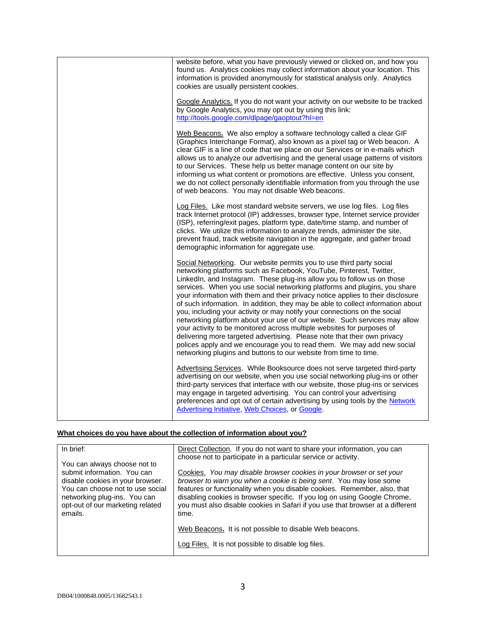| website before, what you have previously viewed or clicked on, and how you<br>found us. Analytics cookies may collect information about your location. This<br>information is provided anonymously for statistical analysis only. Analytics<br>cookies are usually persistent cookies.                                                                                                                                                                                                                                                                                                                                                                                                                                                                                                                                                                                                                                                   |
|------------------------------------------------------------------------------------------------------------------------------------------------------------------------------------------------------------------------------------------------------------------------------------------------------------------------------------------------------------------------------------------------------------------------------------------------------------------------------------------------------------------------------------------------------------------------------------------------------------------------------------------------------------------------------------------------------------------------------------------------------------------------------------------------------------------------------------------------------------------------------------------------------------------------------------------|
| Google Analytics. If you do not want your activity on our website to be tracked<br>by Google Analytics, you may opt out by using this link:<br>http://tools.google.com/dlpage/gaoptout?hl=en                                                                                                                                                                                                                                                                                                                                                                                                                                                                                                                                                                                                                                                                                                                                             |
| Web Beacons. We also employ a software technology called a clear GIF<br>(Graphics Interchange Format), also known as a pixel tag or Web beacon. A<br>clear GIF is a line of code that we place on our Services or in e-mails which<br>allows us to analyze our advertising and the general usage patterns of visitors<br>to our Services. These help us better manage content on our site by<br>informing us what content or promotions are effective. Unless you consent,<br>we do not collect personally identifiable information from you through the use<br>of web beacons. You may not disable Web beacons.                                                                                                                                                                                                                                                                                                                         |
| Log Files. Like most standard website servers, we use log files. Log files<br>track Internet protocol (IP) addresses, browser type, Internet service provider<br>(ISP), referring/exit pages, platform type, date/time stamp, and number of<br>clicks. We utilize this information to analyze trends, administer the site,<br>prevent fraud, track website navigation in the aggregate, and gather broad<br>demographic information for aggregate use.                                                                                                                                                                                                                                                                                                                                                                                                                                                                                   |
| Social Networking. Our website permits you to use third party social<br>networking platforms such as Facebook, YouTube, Pinterest, Twitter,<br>LinkedIn, and Instagram. These plug-ins allow you to follow us on those<br>services. When you use social networking platforms and plugins, you share<br>your information with them and their privacy notice applies to their disclosure<br>of such information. In addition, they may be able to collect information about<br>you, including your activity or may notify your connections on the social<br>networking platform about your use of our website. Such services may allow<br>your activity to be monitored across multiple websites for purposes of<br>delivering more targeted advertising. Please note that their own privacy<br>polices apply and we encourage you to read them. We may add new social<br>networking plugins and buttons to our website from time to time. |
| Advertising Services. While Booksource does not serve targeted third-party<br>advertising on our website, when you use social networking plug-ins or other<br>third-party services that interface with our website, those plug-ins or services<br>may engage in targeted advertising. You can control your advertising<br>preferences and opt out of certain advertising by using tools by the Network<br>Advertising Initiative, Web Choices, or Google.                                                                                                                                                                                                                                                                                                                                                                                                                                                                                |

## **What choices do you have about the collection of information about you?**

| In brief:                                                            | Direct Collection. If you do not want to share your information, you can                                                                       |
|----------------------------------------------------------------------|------------------------------------------------------------------------------------------------------------------------------------------------|
| You can always choose not to                                         | choose not to participate in a particular service or activity.                                                                                 |
| submit information. You can                                          | Cookies. You may disable browser cookies in your browser or set your                                                                           |
| disable cookies in your browser.<br>You can choose not to use social | browser to warn you when a cookie is being sent. You may lose some<br>features or functionality when you disable cookies. Remember, also, that |
| networking plug-ins. You can                                         | disabling cookies is browser specific. If you log on using Google Chrome,                                                                      |
| opt-out of our marketing related<br>emails.                          | you must also disable cookies in Safari if you use that browser at a different<br>time.                                                        |
|                                                                      |                                                                                                                                                |
|                                                                      | Web Beacons. It is not possible to disable Web beacons.                                                                                        |
|                                                                      | Log Files. It is not possible to disable log files.                                                                                            |
|                                                                      |                                                                                                                                                |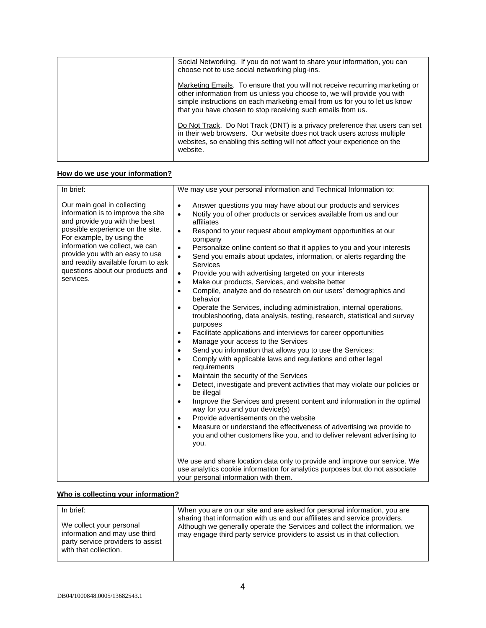| Social Networking. If you do not want to share your information, you can<br>choose not to use social networking plug-ins.                                                                                                                                                                             |
|-------------------------------------------------------------------------------------------------------------------------------------------------------------------------------------------------------------------------------------------------------------------------------------------------------|
| Marketing Emails. To ensure that you will not receive recurring marketing or<br>other information from us unless you choose to, we will provide you with<br>simple instructions on each marketing email from us for you to let us know<br>that you have chosen to stop receiving such emails from us. |
| Do Not Track. Do Not Track (DNT) is a privacy preference that users can set<br>in their web browsers. Our website does not track users across multiple<br>websites, so enabling this setting will not affect your experience on the<br>website.                                                       |

# **How do we use your information?**

| In brief:                                                                                                                                                                                                                                                                                                                       | We may use your personal information and Technical Information to:                                                                                                                                                                                                                                                                                                                                                                                                                                                                                                                                                                                                                                                                                                                                                                                                                                                                                                                                                                                                                                                                                                                                                                                                                                                                                                                                                                                                                                                                                                                                                                                                                                               |
|---------------------------------------------------------------------------------------------------------------------------------------------------------------------------------------------------------------------------------------------------------------------------------------------------------------------------------|------------------------------------------------------------------------------------------------------------------------------------------------------------------------------------------------------------------------------------------------------------------------------------------------------------------------------------------------------------------------------------------------------------------------------------------------------------------------------------------------------------------------------------------------------------------------------------------------------------------------------------------------------------------------------------------------------------------------------------------------------------------------------------------------------------------------------------------------------------------------------------------------------------------------------------------------------------------------------------------------------------------------------------------------------------------------------------------------------------------------------------------------------------------------------------------------------------------------------------------------------------------------------------------------------------------------------------------------------------------------------------------------------------------------------------------------------------------------------------------------------------------------------------------------------------------------------------------------------------------------------------------------------------------------------------------------------------------|
| Our main goal in collecting<br>information is to improve the site<br>and provide you with the best<br>possible experience on the site.<br>For example, by using the<br>information we collect, we can<br>provide you with an easy to use<br>and readily available forum to ask<br>questions about our products and<br>services. | Answer questions you may have about our products and services<br>$\bullet$<br>Notify you of other products or services available from us and our<br>$\bullet$<br>affiliates<br>Respond to your request about employment opportunities at our<br>$\bullet$<br>company<br>Personalize online content so that it applies to you and your interests<br>$\bullet$<br>Send you emails about updates, information, or alerts regarding the<br>$\bullet$<br>Services<br>Provide you with advertising targeted on your interests<br>$\bullet$<br>Make our products, Services, and website better<br>$\bullet$<br>Compile, analyze and do research on our users' demographics and<br>$\bullet$<br>behavior<br>Operate the Services, including administration, internal operations,<br>$\bullet$<br>troubleshooting, data analysis, testing, research, statistical and survey<br>purposes<br>Facilitate applications and interviews for career opportunities<br>$\bullet$<br>Manage your access to the Services<br>$\bullet$<br>Send you information that allows you to use the Services;<br>$\bullet$<br>Comply with applicable laws and regulations and other legal<br>$\bullet$<br>requirements<br>Maintain the security of the Services<br>$\bullet$<br>Detect, investigate and prevent activities that may violate our policies or<br>$\bullet$<br>be illegal<br>Improve the Services and present content and information in the optimal<br>$\bullet$<br>way for you and your device(s)<br>Provide advertisements on the website<br>$\bullet$<br>Measure or understand the effectiveness of advertising we provide to<br>$\bullet$<br>you and other customers like you, and to deliver relevant advertising to<br>you. |
|                                                                                                                                                                                                                                                                                                                                 | We use and share location data only to provide and improve our service. We<br>use analytics cookie information for analytics purposes but do not associate<br>your personal information with them.                                                                                                                                                                                                                                                                                                                                                                                                                                                                                                                                                                                                                                                                                                                                                                                                                                                                                                                                                                                                                                                                                                                                                                                                                                                                                                                                                                                                                                                                                                               |

# **Who is collecting your information?**

| In brief:                                                                                                               | When you are on our site and are asked for personal information, you are                                                                                                                                                              |
|-------------------------------------------------------------------------------------------------------------------------|---------------------------------------------------------------------------------------------------------------------------------------------------------------------------------------------------------------------------------------|
| We collect your personal<br>information and may use third<br>party service providers to assist<br>with that collection. | sharing that information with us and our affiliates and service providers.<br>Although we generally operate the Services and collect the information, we<br>may engage third party service providers to assist us in that collection. |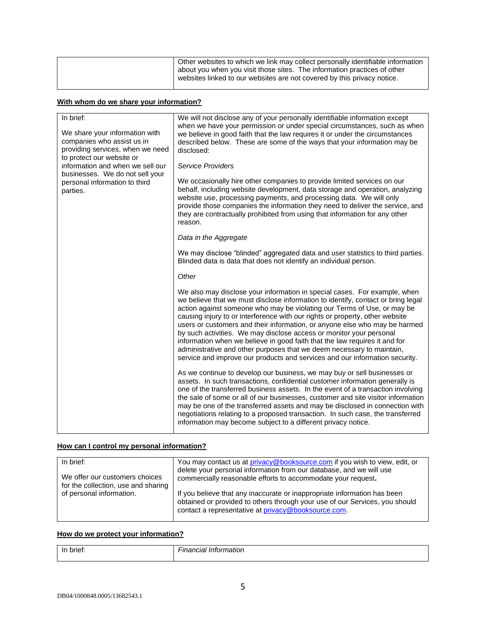| about you when you visit those sites. The information practices of other<br>websites linked to our websites are not covered by this privacy notice. |
|-----------------------------------------------------------------------------------------------------------------------------------------------------|
|-----------------------------------------------------------------------------------------------------------------------------------------------------|

## **With whom do we share your information?**

| In brief:<br>We share your information with<br>companies who assist us in<br>providing services, when we need<br>to protect our website or<br>information and when we sell our<br>businesses. We do not sell your<br>personal information to third<br>parties. | We will not disclose any of your personally identifiable information except<br>when we have your permission or under special circumstances, such as when<br>we believe in good faith that the law requires it or under the circumstances<br>described below. These are some of the ways that your information may be<br>disclosed:<br><b>Service Providers</b><br>We occasionally hire other companies to provide limited services on our<br>behalf, including website development, data storage and operation, analyzing<br>website use, processing payments, and processing data. We will only<br>provide those companies the information they need to deliver the service, and                                   |
|----------------------------------------------------------------------------------------------------------------------------------------------------------------------------------------------------------------------------------------------------------------|---------------------------------------------------------------------------------------------------------------------------------------------------------------------------------------------------------------------------------------------------------------------------------------------------------------------------------------------------------------------------------------------------------------------------------------------------------------------------------------------------------------------------------------------------------------------------------------------------------------------------------------------------------------------------------------------------------------------|
|                                                                                                                                                                                                                                                                | they are contractually prohibited from using that information for any other<br>reason.                                                                                                                                                                                                                                                                                                                                                                                                                                                                                                                                                                                                                              |
|                                                                                                                                                                                                                                                                | Data in the Aggregate                                                                                                                                                                                                                                                                                                                                                                                                                                                                                                                                                                                                                                                                                               |
|                                                                                                                                                                                                                                                                | We may disclose "blinded" aggregated data and user statistics to third parties.<br>Blinded data is data that does not identify an individual person.                                                                                                                                                                                                                                                                                                                                                                                                                                                                                                                                                                |
|                                                                                                                                                                                                                                                                | Other                                                                                                                                                                                                                                                                                                                                                                                                                                                                                                                                                                                                                                                                                                               |
|                                                                                                                                                                                                                                                                | We also may disclose your information in special cases. For example, when<br>we believe that we must disclose information to identify, contact or bring legal<br>action against someone who may be violating our Terms of Use, or may be<br>causing injury to or interference with our rights or property, other website<br>users or customers and their information, or anyone else who may be harmed<br>by such activities. We may disclose access or monitor your personal<br>information when we believe in good faith that the law requires it and for<br>administrative and other purposes that we deem necessary to maintain,<br>service and improve our products and services and our information security. |
|                                                                                                                                                                                                                                                                | As we continue to develop our business, we may buy or sell businesses or<br>assets. In such transactions, confidential customer information generally is<br>one of the transferred business assets. In the event of a transaction involving<br>the sale of some or all of our businesses, customer and site visitor information<br>may be one of the transferred assets and may be disclosed in connection with<br>negotiations relating to a proposed transaction. In such case, the transferred<br>information may become subject to a different privacy notice.                                                                                                                                                  |

# **How can I control my personal information?**

| In brief:<br>We offer our customers choices                     | You may contact us at privacy@booksource.com if you wish to view, edit, or<br>delete your personal information from our database, and we will use<br>commercially reasonable efforts to accommodate your request. |
|-----------------------------------------------------------------|-------------------------------------------------------------------------------------------------------------------------------------------------------------------------------------------------------------------|
| for the collection, use and sharing<br>of personal information. | If you believe that any inaccurate or inappropriate information has been<br>obtained or provided to others through your use of our Services, you should<br>contact a representative at privacy@booksource.com.    |

# **How do we protect your information?**

| ١r | _<br>.<br>,,,,,<br>н<br>"<br>$\cdot$ |
|----|--------------------------------------|
|    |                                      |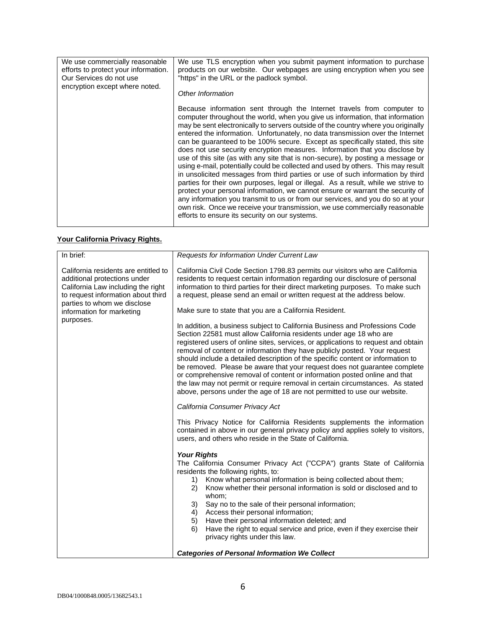| We use commercially reasonable       | We use TLS encryption when you submit payment information to purchase                                                                                                                                                                                                                                                                                                                                                                                                                                                                                                                                                                                                                                                                                                                                                                                                                                                                                                                                                                                                                                                                             |
|--------------------------------------|---------------------------------------------------------------------------------------------------------------------------------------------------------------------------------------------------------------------------------------------------------------------------------------------------------------------------------------------------------------------------------------------------------------------------------------------------------------------------------------------------------------------------------------------------------------------------------------------------------------------------------------------------------------------------------------------------------------------------------------------------------------------------------------------------------------------------------------------------------------------------------------------------------------------------------------------------------------------------------------------------------------------------------------------------------------------------------------------------------------------------------------------------|
| efforts to protect your information. | products on our website. Our webpages are using encryption when you see                                                                                                                                                                                                                                                                                                                                                                                                                                                                                                                                                                                                                                                                                                                                                                                                                                                                                                                                                                                                                                                                           |
| Our Services do not use              | "https" in the URL or the padlock symbol.                                                                                                                                                                                                                                                                                                                                                                                                                                                                                                                                                                                                                                                                                                                                                                                                                                                                                                                                                                                                                                                                                                         |
| encryption except where noted.       | Other Information                                                                                                                                                                                                                                                                                                                                                                                                                                                                                                                                                                                                                                                                                                                                                                                                                                                                                                                                                                                                                                                                                                                                 |
|                                      | Because information sent through the Internet travels from computer to<br>computer throughout the world, when you give us information, that information<br>may be sent electronically to servers outside of the country where you originally<br>entered the information. Unfortunately, no data transmission over the Internet<br>can be guaranteed to be 100% secure. Except as specifically stated, this site<br>does not use security encryption measures. Information that you disclose by<br>use of this site (as with any site that is non-secure), by posting a message or<br>using e-mail, potentially could be collected and used by others. This may result<br>in unsolicited messages from third parties or use of such information by third<br>parties for their own purposes, legal or illegal. As a result, while we strive to<br>protect your personal information, we cannot ensure or warrant the security of<br>any information you transmit to us or from our services, and you do so at your<br>own risk. Once we receive your transmission, we use commercially reasonable<br>efforts to ensure its security on our systems. |

# **Your California Privacy Rights.**

| Requests for Information Under Current Law                                                                                                                                                                                                                                                                                                                                                                                                                                                                                                                                                                                                                                                                                    |
|-------------------------------------------------------------------------------------------------------------------------------------------------------------------------------------------------------------------------------------------------------------------------------------------------------------------------------------------------------------------------------------------------------------------------------------------------------------------------------------------------------------------------------------------------------------------------------------------------------------------------------------------------------------------------------------------------------------------------------|
| California Civil Code Section 1798.83 permits our visitors who are California<br>residents to request certain information regarding our disclosure of personal<br>information to third parties for their direct marketing purposes. To make such<br>a request, please send an email or written request at the address below.                                                                                                                                                                                                                                                                                                                                                                                                  |
| Make sure to state that you are a California Resident.                                                                                                                                                                                                                                                                                                                                                                                                                                                                                                                                                                                                                                                                        |
| In addition, a business subject to California Business and Professions Code<br>Section 22581 must allow California residents under age 18 who are<br>registered users of online sites, services, or applications to request and obtain<br>removal of content or information they have publicly posted. Your request<br>should include a detailed description of the specific content or information to<br>be removed. Please be aware that your request does not guarantee complete<br>or comprehensive removal of content or information posted online and that<br>the law may not permit or require removal in certain circumstances. As stated<br>above, persons under the age of 18 are not permitted to use our website. |
| California Consumer Privacy Act                                                                                                                                                                                                                                                                                                                                                                                                                                                                                                                                                                                                                                                                                               |
| This Privacy Notice for California Residents supplements the information<br>contained in above in our general privacy policy and applies solely to visitors,<br>users, and others who reside in the State of California.                                                                                                                                                                                                                                                                                                                                                                                                                                                                                                      |
| <b>Your Rights</b><br>The California Consumer Privacy Act ("CCPA") grants State of California<br>residents the following rights, to:<br>Know what personal information is being collected about them;<br>1)<br>Know whether their personal information is sold or disclosed and to<br>(2)<br>whom;<br>3)<br>Say no to the sale of their personal information;<br>Access their personal information;<br>4)<br>5)<br>Have their personal information deleted; and<br>6)<br>Have the right to equal service and price, even if they exercise their<br>privacy rights under this law.<br><b>Categories of Personal Information We Collect</b>                                                                                     |
|                                                                                                                                                                                                                                                                                                                                                                                                                                                                                                                                                                                                                                                                                                                               |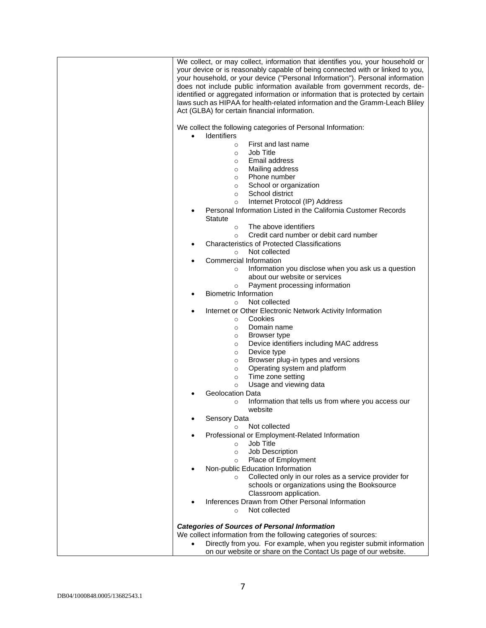| We collect, or may collect, information that identifies you, your household or<br>your device or is reasonably capable of being connected with or linked to you,<br>your household, or your device ("Personal Information"). Personal information<br>does not include public information available from government records, de-<br>identified or aggregated information or information that is protected by certain<br>laws such as HIPAA for health-related information and the Gramm-Leach Bliley<br>Act (GLBA) for certain financial information. |
|------------------------------------------------------------------------------------------------------------------------------------------------------------------------------------------------------------------------------------------------------------------------------------------------------------------------------------------------------------------------------------------------------------------------------------------------------------------------------------------------------------------------------------------------------|
| We collect the following categories of Personal Information:<br><b>Identifiers</b>                                                                                                                                                                                                                                                                                                                                                                                                                                                                   |
| First and last name<br>$\circ$                                                                                                                                                                                                                                                                                                                                                                                                                                                                                                                       |
| Job Title<br>$\circ$                                                                                                                                                                                                                                                                                                                                                                                                                                                                                                                                 |
| Email address<br>$\circ$<br>Mailing address<br>$\circ$                                                                                                                                                                                                                                                                                                                                                                                                                                                                                               |
| Phone number<br>$\circ$                                                                                                                                                                                                                                                                                                                                                                                                                                                                                                                              |
| School or organization<br>$\circ$                                                                                                                                                                                                                                                                                                                                                                                                                                                                                                                    |
| School district<br>$\circ$<br>Internet Protocol (IP) Address<br>$\circ$                                                                                                                                                                                                                                                                                                                                                                                                                                                                              |
| Personal Information Listed in the California Customer Records<br><b>Statute</b>                                                                                                                                                                                                                                                                                                                                                                                                                                                                     |
| The above identifiers<br>$\circ$                                                                                                                                                                                                                                                                                                                                                                                                                                                                                                                     |
| Credit card number or debit card number<br>$\circ$<br><b>Characteristics of Protected Classifications</b>                                                                                                                                                                                                                                                                                                                                                                                                                                            |
| Not collected<br>$\circ$                                                                                                                                                                                                                                                                                                                                                                                                                                                                                                                             |
| Commercial Information                                                                                                                                                                                                                                                                                                                                                                                                                                                                                                                               |
| Information you disclose when you ask us a question<br>$\circ$                                                                                                                                                                                                                                                                                                                                                                                                                                                                                       |
| about our website or services<br>Payment processing information<br>$\circ$                                                                                                                                                                                                                                                                                                                                                                                                                                                                           |
| <b>Biometric Information</b>                                                                                                                                                                                                                                                                                                                                                                                                                                                                                                                         |
| Not collected<br>$\circ$                                                                                                                                                                                                                                                                                                                                                                                                                                                                                                                             |
| Internet or Other Electronic Network Activity Information<br>Cookies<br>$\circ$                                                                                                                                                                                                                                                                                                                                                                                                                                                                      |
| Domain name<br>$\circ$                                                                                                                                                                                                                                                                                                                                                                                                                                                                                                                               |
| Browser type<br>$\circ$                                                                                                                                                                                                                                                                                                                                                                                                                                                                                                                              |
| Device identifiers including MAC address<br>$\circ$<br>Device type<br>$\circ$                                                                                                                                                                                                                                                                                                                                                                                                                                                                        |
| Browser plug-in types and versions<br>$\circ$                                                                                                                                                                                                                                                                                                                                                                                                                                                                                                        |
| Operating system and platform<br>$\circ$                                                                                                                                                                                                                                                                                                                                                                                                                                                                                                             |
| Time zone setting<br>$\circ$<br>Usage and viewing data<br>$\circ$                                                                                                                                                                                                                                                                                                                                                                                                                                                                                    |
| <b>Geolocation Data</b>                                                                                                                                                                                                                                                                                                                                                                                                                                                                                                                              |
| Information that tells us from where you access our<br>$\circ$<br>website                                                                                                                                                                                                                                                                                                                                                                                                                                                                            |
| Sensory Data                                                                                                                                                                                                                                                                                                                                                                                                                                                                                                                                         |
| Not collected<br>$\circ$<br>Professional or Employment-Related Information                                                                                                                                                                                                                                                                                                                                                                                                                                                                           |
| Job Title<br>$\circ$                                                                                                                                                                                                                                                                                                                                                                                                                                                                                                                                 |
| Job Description<br>$\circ$                                                                                                                                                                                                                                                                                                                                                                                                                                                                                                                           |
| Place of Employment<br>$\circ$<br>Non-public Education Information                                                                                                                                                                                                                                                                                                                                                                                                                                                                                   |
| Collected only in our roles as a service provider for<br>$\circ$                                                                                                                                                                                                                                                                                                                                                                                                                                                                                     |
| schools or organizations using the Booksource<br>Classroom application.                                                                                                                                                                                                                                                                                                                                                                                                                                                                              |
| Inferences Drawn from Other Personal Information<br>Not collected<br>$\circ$                                                                                                                                                                                                                                                                                                                                                                                                                                                                         |
| <b>Categories of Sources of Personal Information</b>                                                                                                                                                                                                                                                                                                                                                                                                                                                                                                 |
| We collect information from the following categories of sources:                                                                                                                                                                                                                                                                                                                                                                                                                                                                                     |
| Directly from you. For example, when you register submit information<br>$\bullet$                                                                                                                                                                                                                                                                                                                                                                                                                                                                    |
| on our website or share on the Contact Us page of our website.                                                                                                                                                                                                                                                                                                                                                                                                                                                                                       |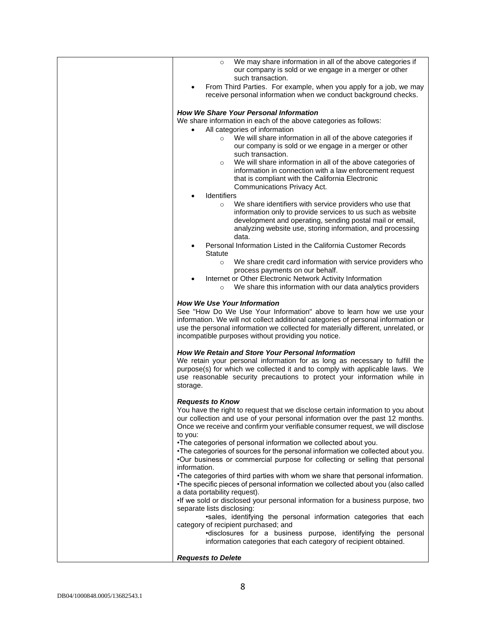| We may share information in all of the above categories if<br>$\circ$<br>our company is sold or we engage in a merger or other<br>such transaction.                                                                                                                                                                                                                                                                                                                                                                                                                                                                                                                                                                                                                                                                                                                                               |
|---------------------------------------------------------------------------------------------------------------------------------------------------------------------------------------------------------------------------------------------------------------------------------------------------------------------------------------------------------------------------------------------------------------------------------------------------------------------------------------------------------------------------------------------------------------------------------------------------------------------------------------------------------------------------------------------------------------------------------------------------------------------------------------------------------------------------------------------------------------------------------------------------|
| From Third Parties. For example, when you apply for a job, we may<br>$\bullet$<br>receive personal information when we conduct background checks.                                                                                                                                                                                                                                                                                                                                                                                                                                                                                                                                                                                                                                                                                                                                                 |
| <b>How We Share Your Personal Information</b><br>We share information in each of the above categories as follows:<br>All categories of information<br>We will share information in all of the above categories if<br>$\circ$<br>our company is sold or we engage in a merger or other<br>such transaction.<br>We will share information in all of the above categories of<br>$\circ$<br>information in connection with a law enforcement request<br>that is compliant with the California Electronic<br>Communications Privacy Act.<br>Identifiers<br>٠<br>We share identifiers with service providers who use that<br>$\circ$<br>information only to provide services to us such as website<br>development and operating, sending postal mail or email,<br>analyzing website use, storing information, and processing<br>data.<br>Personal Information Listed in the California Customer Records |
| <b>Statute</b><br>We share credit card information with service providers who<br>$\circ$<br>process payments on our behalf.<br>Internet or Other Electronic Network Activity Information<br>We share this information with our data analytics providers<br>$\circ$                                                                                                                                                                                                                                                                                                                                                                                                                                                                                                                                                                                                                                |
| <b>How We Use Your Information</b><br>See "How Do We Use Your Information" above to learn how we use your<br>information. We will not collect additional categories of personal information or<br>use the personal information we collected for materially different, unrelated, or<br>incompatible purposes without providing you notice.                                                                                                                                                                                                                                                                                                                                                                                                                                                                                                                                                        |
| How We Retain and Store Your Personal Information<br>We retain your personal information for as long as necessary to fulfill the<br>purpose(s) for which we collected it and to comply with applicable laws. We<br>use reasonable security precautions to protect your information while in<br>storage.                                                                                                                                                                                                                                                                                                                                                                                                                                                                                                                                                                                           |
| <b>Requests to Know</b><br>You have the right to request that we disclose certain information to you about<br>our collection and use of your personal information over the past 12 months.<br>Once we receive and confirm your verifiable consumer request, we will disclose<br>to you:<br>•The categories of personal information we collected about you.                                                                                                                                                                                                                                                                                                                                                                                                                                                                                                                                        |
| . The categories of sources for the personal information we collected about you.<br>.Our business or commercial purpose for collecting or selling that personal<br>information.<br>. The categories of third parties with whom we share that personal information.                                                                                                                                                                                                                                                                                                                                                                                                                                                                                                                                                                                                                                |
| •The specific pieces of personal information we collected about you (also called<br>a data portability request).<br>•If we sold or disclosed your personal information for a business purpose, two<br>separate lists disclosing:                                                                                                                                                                                                                                                                                                                                                                                                                                                                                                                                                                                                                                                                  |
| .sales, identifying the personal information categories that each<br>category of recipient purchased; and<br>•disclosures for a business purpose, identifying the personal<br>information categories that each category of recipient obtained.                                                                                                                                                                                                                                                                                                                                                                                                                                                                                                                                                                                                                                                    |
| <b>Requests to Delete</b>                                                                                                                                                                                                                                                                                                                                                                                                                                                                                                                                                                                                                                                                                                                                                                                                                                                                         |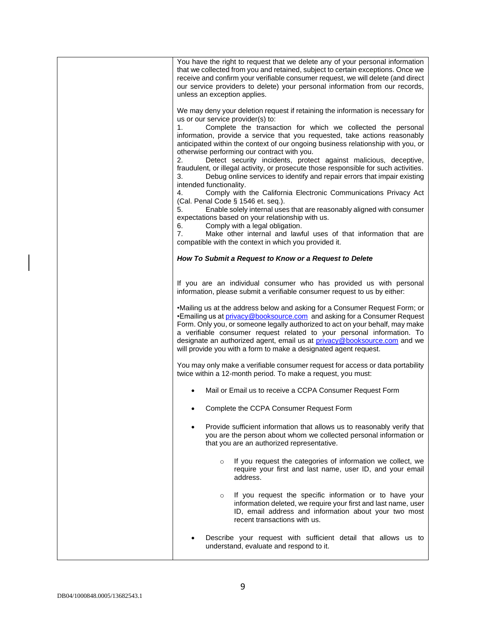| You have the right to request that we delete any of your personal information<br>that we collected from you and retained, subject to certain exceptions. Once we<br>receive and confirm your verifiable consumer request, we will delete (and direct<br>our service providers to delete) your personal information from our records,<br>unless an exception applies.                                                                                                                                                                                                                                                                                                                                                                                                                                                                                                                                                                                                                                                                                                                                                      |
|---------------------------------------------------------------------------------------------------------------------------------------------------------------------------------------------------------------------------------------------------------------------------------------------------------------------------------------------------------------------------------------------------------------------------------------------------------------------------------------------------------------------------------------------------------------------------------------------------------------------------------------------------------------------------------------------------------------------------------------------------------------------------------------------------------------------------------------------------------------------------------------------------------------------------------------------------------------------------------------------------------------------------------------------------------------------------------------------------------------------------|
| We may deny your deletion request if retaining the information is necessary for<br>us or our service provider(s) to:<br>Complete the transaction for which we collected the personal<br>1.<br>information, provide a service that you requested, take actions reasonably<br>anticipated within the context of our ongoing business relationship with you, or<br>otherwise performing our contract with you.<br>Detect security incidents, protect against malicious, deceptive,<br>2.<br>fraudulent, or illegal activity, or prosecute those responsible for such activities.<br>3.<br>Debug online services to identify and repair errors that impair existing<br>intended functionality.<br>Comply with the California Electronic Communications Privacy Act<br>4.<br>(Cal. Penal Code § 1546 et. seq.).<br>Enable solely internal uses that are reasonably aligned with consumer<br>5.<br>expectations based on your relationship with us.<br>Comply with a legal obligation.<br>6.<br>7.<br>Make other internal and lawful uses of that information that are<br>compatible with the context in which you provided it. |
| How To Submit a Request to Know or a Request to Delete                                                                                                                                                                                                                                                                                                                                                                                                                                                                                                                                                                                                                                                                                                                                                                                                                                                                                                                                                                                                                                                                    |
| If you are an individual consumer who has provided us with personal<br>information, please submit a verifiable consumer request to us by either:                                                                                                                                                                                                                                                                                                                                                                                                                                                                                                                                                                                                                                                                                                                                                                                                                                                                                                                                                                          |
| •Mailing us at the address below and asking for a Consumer Request Form; or<br>•Emailing us at <i>privacy@booksource.com</i> and asking for a Consumer Request<br>Form. Only you, or someone legally authorized to act on your behalf, may make<br>a verifiable consumer request related to your personal information. To<br>designate an authorized agent, email us at privacy@booksource.com and we<br>will provide you with a form to make a designated agent request.                                                                                                                                                                                                                                                                                                                                                                                                                                                                                                                                                                                                                                                 |
| You may only make a verifiable consumer request for access or data portability<br>twice within a 12-month period. To make a request, you must:                                                                                                                                                                                                                                                                                                                                                                                                                                                                                                                                                                                                                                                                                                                                                                                                                                                                                                                                                                            |
| Mail or Email us to receive a CCPA Consumer Request Form                                                                                                                                                                                                                                                                                                                                                                                                                                                                                                                                                                                                                                                                                                                                                                                                                                                                                                                                                                                                                                                                  |
| Complete the CCPA Consumer Request Form                                                                                                                                                                                                                                                                                                                                                                                                                                                                                                                                                                                                                                                                                                                                                                                                                                                                                                                                                                                                                                                                                   |
| Provide sufficient information that allows us to reasonably verify that<br>you are the person about whom we collected personal information or<br>that you are an authorized representative.                                                                                                                                                                                                                                                                                                                                                                                                                                                                                                                                                                                                                                                                                                                                                                                                                                                                                                                               |
| If you request the categories of information we collect, we<br>$\circ$<br>require your first and last name, user ID, and your email<br>address.                                                                                                                                                                                                                                                                                                                                                                                                                                                                                                                                                                                                                                                                                                                                                                                                                                                                                                                                                                           |
| If you request the specific information or to have your<br>$\circ$<br>information deleted, we require your first and last name, user<br>ID, email address and information about your two most<br>recent transactions with us.                                                                                                                                                                                                                                                                                                                                                                                                                                                                                                                                                                                                                                                                                                                                                                                                                                                                                             |
| Describe your request with sufficient detail that allows us to<br>understand, evaluate and respond to it.                                                                                                                                                                                                                                                                                                                                                                                                                                                                                                                                                                                                                                                                                                                                                                                                                                                                                                                                                                                                                 |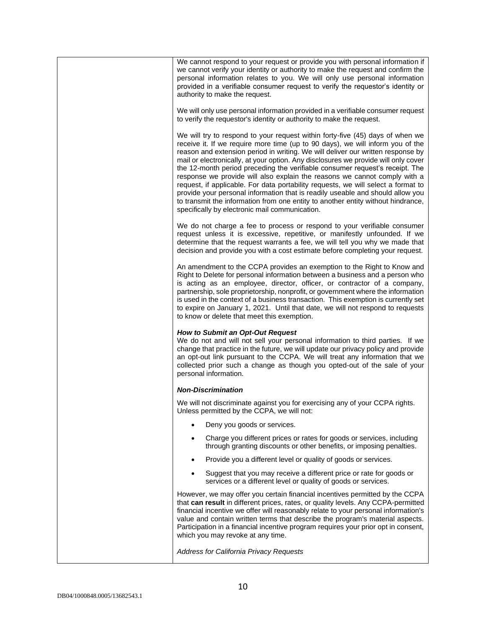| We cannot respond to your request or provide you with personal information if<br>we cannot verify your identity or authority to make the request and confirm the<br>personal information relates to you. We will only use personal information<br>provided in a verifiable consumer request to verify the requestor's identity or<br>authority to make the request.                                                                                                                                                                                                                                                                                                                                                                                                                                                |
|--------------------------------------------------------------------------------------------------------------------------------------------------------------------------------------------------------------------------------------------------------------------------------------------------------------------------------------------------------------------------------------------------------------------------------------------------------------------------------------------------------------------------------------------------------------------------------------------------------------------------------------------------------------------------------------------------------------------------------------------------------------------------------------------------------------------|
| We will only use personal information provided in a verifiable consumer request<br>to verify the requestor's identity or authority to make the request.                                                                                                                                                                                                                                                                                                                                                                                                                                                                                                                                                                                                                                                            |
| We will try to respond to your request within forty-five (45) days of when we<br>receive it. If we require more time (up to 90 days), we will inform you of the<br>reason and extension period in writing. We will deliver our written response by<br>mail or electronically, at your option. Any disclosures we provide will only cover<br>the 12-month period preceding the verifiable consumer request's receipt. The<br>response we provide will also explain the reasons we cannot comply with a<br>request, if applicable. For data portability requests, we will select a format to<br>provide your personal information that is readily useable and should allow you<br>to transmit the information from one entity to another entity without hindrance,<br>specifically by electronic mail communication. |
| We do not charge a fee to process or respond to your verifiable consumer<br>request unless it is excessive, repetitive, or manifestly unfounded. If we<br>determine that the request warrants a fee, we will tell you why we made that<br>decision and provide you with a cost estimate before completing your request.                                                                                                                                                                                                                                                                                                                                                                                                                                                                                            |
| An amendment to the CCPA provides an exemption to the Right to Know and<br>Right to Delete for personal information between a business and a person who<br>is acting as an employee, director, officer, or contractor of a company,<br>partnership, sole proprietorship, nonprofit, or government where the information<br>is used in the context of a business transaction. This exemption is currently set<br>to expire on January 1, 2021. Until that date, we will not respond to requests<br>to know or delete that meet this exemption.                                                                                                                                                                                                                                                                      |
| <b>How to Submit an Opt-Out Request</b><br>We do not and will not sell your personal information to third parties. If we<br>change that practice in the future, we will update our privacy policy and provide<br>an opt-out link pursuant to the CCPA. We will treat any information that we<br>collected prior such a change as though you opted-out of the sale of your<br>personal information.                                                                                                                                                                                                                                                                                                                                                                                                                 |
| <b>Non-Discrimination</b>                                                                                                                                                                                                                                                                                                                                                                                                                                                                                                                                                                                                                                                                                                                                                                                          |
| We will not discriminate against you for exercising any of your CCPA rights.<br>Unless permitted by the CCPA, we will not:                                                                                                                                                                                                                                                                                                                                                                                                                                                                                                                                                                                                                                                                                         |
| Deny you goods or services.                                                                                                                                                                                                                                                                                                                                                                                                                                                                                                                                                                                                                                                                                                                                                                                        |
| Charge you different prices or rates for goods or services, including<br>through granting discounts or other benefits, or imposing penalties.                                                                                                                                                                                                                                                                                                                                                                                                                                                                                                                                                                                                                                                                      |
| Provide you a different level or quality of goods or services.<br>$\bullet$                                                                                                                                                                                                                                                                                                                                                                                                                                                                                                                                                                                                                                                                                                                                        |
| Suggest that you may receive a different price or rate for goods or<br>services or a different level or quality of goods or services.                                                                                                                                                                                                                                                                                                                                                                                                                                                                                                                                                                                                                                                                              |
| However, we may offer you certain financial incentives permitted by the CCPA<br>that can result in different prices, rates, or quality levels. Any CCPA-permitted<br>financial incentive we offer will reasonably relate to your personal information's<br>value and contain written terms that describe the program's material aspects.<br>Participation in a financial incentive program requires your prior opt in consent,<br>which you may revoke at any time.                                                                                                                                                                                                                                                                                                                                                |
| Address for California Privacy Requests                                                                                                                                                                                                                                                                                                                                                                                                                                                                                                                                                                                                                                                                                                                                                                            |